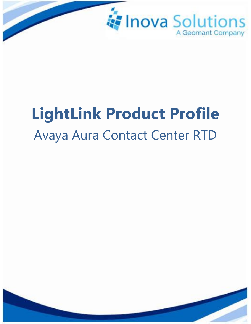

# **LightLink Product Profile** Avaya Aura Contact Center RTD

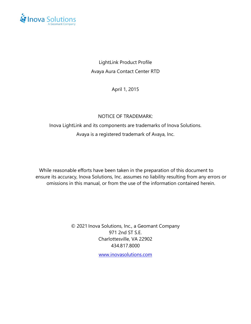

LightLink Product Profile Avaya Aura Contact Center RTD

April 1, 2015

#### NOTICE OF TRADEMARK:

### Inova LightLink and its components are trademarks of Inova Solutions. Avaya is a registered trademark of Avaya, Inc.

While reasonable efforts have been taken in the preparation of this document to ensure its accuracy, Inova Solutions, Inc. assumes no liability resulting from any errors or omissions in this manual, or from the use of the information contained herein.

> © 2021 Inova Solutions, Inc., a Geomant Company 971 2nd ST S.E. Charlottesville, VA 22902 434.817.8000

> > [www.inovasolutions.com](http://www.inovasolutions.com/)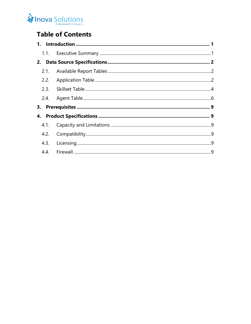## Inova Solutions

## **Table of Contents**

| 2.2. |  |
|------|--|
|      |  |
| 2.4. |  |
|      |  |
|      |  |
| 4.1. |  |
| 4.2. |  |
| 4.3. |  |
|      |  |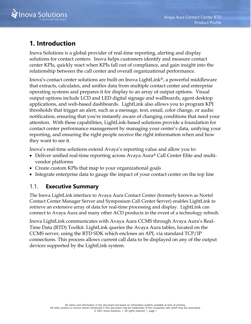

## <span id="page-3-0"></span>**1. Introduction**

Inova Solutions is a global provider of real-time reporting, alerting and display solutions for contact centers. Inova helps customers identify and measure contact center KPIs, quickly react when KPIs fall out of compliance, and gain insight into the relationship between the call center and overall organizational performance.

Inova's contact center solutions are built on Inova LightLink®, a powerful middleware that extracts, calculates, and unifies data from multiple contact center and enterprise operating systems and prepares it for display to an array of output options. Visual output options include LCD and LED digital signage and wallboards, agent desktop applications, and web-based dashboards. LightLink also allows you to program KPI thresholds that trigger an alert, such as a message, text, email, color change, or audio notification, ensuring that you're instantly aware of changing conditions that need your attention. With these capabilities, LightLink-based solutions provide a foundation for contact center performance management by managing your center's data, unifying your reporting, and ensuring the right people receive the right information when and how they want to see it.

Inova's real-time solutions extend Avaya's reporting value and allow you to:

- Deliver unified real-time reporting across Avaya Aura® Call Center Elite and multivendor platforms
- Create custom KPIs that map to your organizational goals
- <span id="page-3-1"></span>• Integrate enterprise data to gauge the impact of your contact center on the top line

#### 1.1. **Executive Summary**

The Inova LightLink interface to Avaya Aura Contact Center (formerly known as Nortel Contact Center Manager Server and Symposium Call Center Server) enables LightLink to retrieve an extensive array of data for real-time processing and display. LightLink can connect to Avaya Aura and many other ACD products in the event of a technology refresh.

Inova LightLink communicates with Avaya Aura CCMS through Avaya Aura's Real-Time Data (RTD) Toolkit. LightLink queries the Avaya Aura tables, located on the CCMS server, using the RTD SDK which encloses an API, via standard TCP/IP connections. This process allows current call data to be displayed on any of the output devices supported by the LightLink system.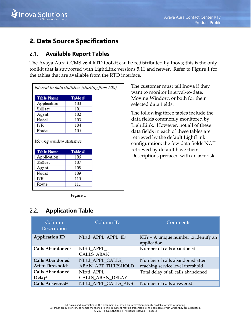

## <span id="page-4-0"></span>**2. Data Source Specifications**

#### <span id="page-4-1"></span>2.1. **Available Report Tables**

The Avaya Aura CCMS v6.4 RTD toolkit can be redistributed by Inova; this is the only toolkit that is supported with LightLink versions 5.11 and newer. Refer to [Figure 1](#page-4-3) for the tables that are available from the RTD interface.

| Interval to date statistics (starting from 100) |         |  |  |
|-------------------------------------------------|---------|--|--|
| Table Name                                      | Table # |  |  |
| Application                                     | 100     |  |  |
| Skillset                                        | 101     |  |  |
| Agent                                           | 102     |  |  |
| Nodal                                           | 103     |  |  |
| IVR.                                            | 104     |  |  |
|                                                 |         |  |  |
| Route                                           | 105     |  |  |
|                                                 |         |  |  |
| <b>Table Name</b>                               | Table # |  |  |
| Application                                     | 106     |  |  |
| Moving window statistics<br>Skillset            | 107     |  |  |
| Agent                                           | 108     |  |  |
| Nodal                                           | 109     |  |  |
| IVR                                             | 110     |  |  |

**Figure 1**

#### <span id="page-4-3"></span><span id="page-4-2"></span>2.2. **Application Table**

The customer must tell Inova if they want to monitor Interval-to-date, Moving Window, or both for their selected data fields.

The following three tables include the data fields commonly monitored by LightLink. However, not all of these data fields in each of these tables are retrieved by the default LightLink configuration; the few data fields NOT retrieved by default have their Descriptions prefaced with an asterisk.

| Column<br>Description                                  | Column ID                                     | Comments                                                            |
|--------------------------------------------------------|-----------------------------------------------|---------------------------------------------------------------------|
| <b>Application ID</b>                                  | NIrtd APPL APPL ID                            | KEY - A unique number to identify an<br>application.                |
| Calls Abandoned <sup>a</sup>                           | NIrtd APPL<br><b>CALLS_ABAN</b>               | Number of calls abandoned                                           |
| <b>Calls Abandoned</b><br>After Threshold <sup>a</sup> | NIrtd APPL CALLS<br><b>ABAN AFT THRESHOLD</b> | Number of calls abandoned after<br>reaching service level threshold |
| <b>Calls Abandoned</b><br>Delaya                       | NIrtd APPL<br>CALLS_ABAN_DELAY                | Total delay of all calls abandoned                                  |
| Calls Answered <sup>a</sup>                            | NIrtd APPL CALLS ANS                          | Number of calls answered                                            |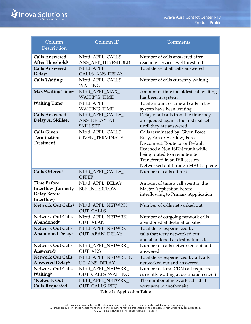

| Column<br>Description                                                                 | Column ID                                                   | Comments                                                                                                                                                                                                                                    |
|---------------------------------------------------------------------------------------|-------------------------------------------------------------|---------------------------------------------------------------------------------------------------------------------------------------------------------------------------------------------------------------------------------------------|
| <b>Calls Answered</b><br>After Threshold <sup>a</sup>                                 | NIrtd_APPL_CALLS_<br>ANS_AFT_THRESHOLD                      | Number of calls answered after<br>reaching service level threshold                                                                                                                                                                          |
| <b>Calls Answered</b><br>Delaya                                                       | NIrtd_APPL_<br>CALLS_ANS_DELAY                              | Total delay of all calls answered                                                                                                                                                                                                           |
| Calls Waiting <sup>a</sup>                                                            | NIrtd_APPL_CALLS_<br><b>WAITING</b>                         | Number of calls currently waiting                                                                                                                                                                                                           |
| Max Waiting Time <sup>a</sup>                                                         | NIrtd_APPL_MAX_<br><b>WAITING_TIME</b>                      | Amount of time the oldest call waiting<br>has been in system                                                                                                                                                                                |
| <b>Waiting Timea</b>                                                                  | NIrtd_APPL_<br><b>WAITING_TIME</b>                          | Total amount of time all calls in the<br>system have been waiting                                                                                                                                                                           |
| <b>Calls Answered</b><br>Delay At Skillset                                            | NIrtd_APPL_CALLS_<br>ANS_DELAY_AT_<br><b>SKILLSET</b>       | Delay of all calls from the time they<br>are queued against the first skillset<br>until they are answered                                                                                                                                   |
| <b>Calls Given</b><br><b>Termination</b><br><b>Treatment</b>                          | NIrtd_APPL_CALLS_<br><b>GIVEN_TERMINATE</b>                 | Calls terminated by: Given Force<br>Busy, Force Overflow, Force<br>Disconnect, Route to, or Default<br>Reached a Non-ISDN trunk while<br>being routed to a remote site<br>Transferred in an IVR session<br>Networked out through MACD queue |
| Calls Offered <sup>a</sup>                                                            | NIrtd_APPL_CALLS_<br><b>OFFER</b>                           | Number of calls offered                                                                                                                                                                                                                     |
| <b>Time Before</b><br><b>Interflow (formerly</b><br><b>Delay Before</b><br>Interflow) | NIrtd_APPL_DELAY_<br><b>BEF_INTERFLOW</b>                   | Amount of time a call spent in the<br><b>Master Application before</b><br>interflowing to Primary Application                                                                                                                               |
| Network Out Callsb                                                                    | NIrtd_APPL_NETWRK_<br><b>OUT_CALLS</b>                      | Number of calls networked out                                                                                                                                                                                                               |
| <b>Network Out Calls</b><br>Abandoned <sup>b</sup><br><b>Network Out Calls</b>        | NIrtd_APPL_NETWRK_<br><b>OUT_ABAN</b><br>NIrtd_APPL_NETWRK_ | Number of outgoing network calls<br>abandoned at destination sites<br>Total delay experienced by                                                                                                                                            |
| <b>Abandoned Delayb</b>                                                               | <b>OUT_ABAN_DELAY</b>                                       | calls that were networked out<br>and abandoned at destination sites                                                                                                                                                                         |
| <b>Network Out Calls</b><br>Answeredb                                                 | NIrtd_APPL_NETWRK_<br><b>OUT_ANS</b>                        | Number of calls networked out and<br>answered                                                                                                                                                                                               |
| <b>Network Out Calls</b><br><b>Answered Delayb</b>                                    | NIrtd_APPL_NETWRK_O<br>UT_ANS_DELAY                         | Total delay experienced by all calls<br>networked out and answered                                                                                                                                                                          |
| <b>Network Out Calls</b><br>Waitingb                                                  | NIrtd_APPL_NETWRK_<br>OUT_CALLS_WAITING                     | Number of local CDN call requests<br>currently waiting at destination site(s)                                                                                                                                                               |
| *Network Out<br><b>Calls Requested</b>                                                | Nlrtd_APPL_NETWRK_<br><b>OUT_CALLS_REQ</b>                  | The number of network calls that<br>were sent to another site                                                                                                                                                                               |

**Table 1: Application Table**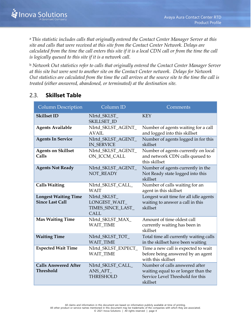<sup>a</sup>*This statistic includes calls that originally entered the Contact Center Manager Server at this site and calls that were received at this site from the Contact Center Network. Delays are calculated from the time the call enters this site if it is a local CDN call or from the time the call is logically queued to this site if it is a network call.*

<sup>b</sup> *Network Out statistics refer to calls that originally entered the Contact Center Manager Server at this site but were sent to another site on the Contact Center network. Delays for Network Out statistics are calculated from the time the call arrives at the source site to the time the call is treated (either answered, abandoned, or terminated) at the destination site.*

#### <span id="page-6-0"></span>2.3. **Skillset Table**

| <b>Column Description</b>                             | Column ID                                                         | Comments                                                                                                              |
|-------------------------------------------------------|-------------------------------------------------------------------|-----------------------------------------------------------------------------------------------------------------------|
| <b>Skillset ID</b>                                    | NIrtd_SKLST_<br>SKILLSET_ID                                       | <b>KEY</b>                                                                                                            |
| <b>Agents Available</b>                               | NIrtd_SKLST_AGENT_<br>AVAIL                                       | Number of agents waiting for a call<br>and logged into this skillset                                                  |
| <b>Agents In Service</b>                              | NIrtd_SKLST_AGENT_<br><b>IN_SERVICE</b>                           | Number of agents logged in for this<br>skillset                                                                       |
| <b>Agents on Skillset</b><br>Calls                    | NIrtd_SKLST_AGENT_<br>ON_ICCM_CALL                                | Number of agents currently on local<br>and network CDN calls queued to<br>this skillset                               |
| <b>Agents Not Ready</b>                               | NIrtd_SKLST_AGENT_<br><b>NOT READY</b>                            | Number of agents currently in the<br>Not Ready state logged into this<br>skillset                                     |
| <b>Calls Waiting</b>                                  | NIrtd_SKLST_CALL_<br><b>WAIT</b>                                  | Number of calls waiting for an<br>agent in this skillset                                                              |
| <b>Longest Waiting Time</b><br><b>Since Last Call</b> | NIrtd_SKLST_<br>LONGEST_WAIT_<br>TIMES_SINCE_LAST_<br><b>CALL</b> | Longest wait time for all idle agents<br>waiting to answer a call in this<br>skillset                                 |
| <b>Max Waiting Time</b>                               | NIrtd_SKLST_MAX_<br><b>WAIT_TIME</b>                              | Amount of time oldest call<br>currently waiting has been in<br>skillset                                               |
| <b>Waiting Time</b>                                   | NIrtd_SKLST_TOT_<br><b>WAIT_TIME</b>                              | Total time all currently waiting calls<br>in the skillset have been waiting                                           |
| <b>Expected Wait Time</b>                             | NIrtd_SKLST_EXPECT_<br><b>WAIT_TIME</b>                           | Time a new call is expected to wait<br>before being answered by an agent<br>with this skillset                        |
| <b>Calls Answered After</b><br><b>Threshold</b>       | NIrtd_SKLST_CALL_<br>ANS AFT<br><b>THRESHOLD</b>                  | Number of calls answered after<br>waiting equal to or longer than the<br>Service Level Threshold for this<br>skillset |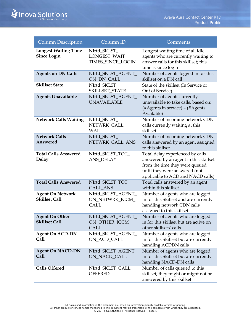| <b>Column Description</b>                         | Column ID                                            | Comments                                                                                                                                                                          |
|---------------------------------------------------|------------------------------------------------------|-----------------------------------------------------------------------------------------------------------------------------------------------------------------------------------|
| <b>Longest Waiting Time</b><br><b>Since Login</b> | NIrtd_SKLST_<br>LONGEST_WAIT_<br>TIMES_SINCE_LOGIN   | Longest waiting time of all idle<br>agents who are currently waiting to<br>answer calls for this skillset; this<br>time is since login                                            |
| <b>Agents on DN Calls</b>                         | NIrtd_SKLST_AGENT_<br>ON_DN_CALL                     | Number of agents logged in for this<br>skillset on a DN call                                                                                                                      |
| <b>Skillset State</b>                             | NIrtd SKLST<br>SKILLSET_STATE                        | State of the skillset (In Service or<br>Out of Service)                                                                                                                           |
| <b>Agents Unavailable</b>                         | NIrtd_SKLST_AGENT_<br><b>UNAVAILABLE</b>             | Number of agents currently<br>unavailable to take calls, based on:<br>(#Agents in service) - (#Agents<br>Available)                                                               |
| <b>Network Calls Waiting</b>                      | NIrtd_SKLST_<br>NETWRK_CALL_<br><b>WAIT</b>          | Number of incoming network CDN<br>calls currently waiting at this<br>skillset                                                                                                     |
| <b>Network Calls</b><br>Answered                  | NIrtd_SKLST_<br>NETWRK_CALL_ANS                      | Number of incoming network CDN<br>calls answered by an agent assigned<br>to this skillset                                                                                         |
| <b>Total Calls Answered</b><br><b>Delay</b>       | NIrtd_SKLST_TOT_<br><b>ANS_DELAY</b>                 | Total delay experienced by calls<br>answered by an agent in this skillset<br>from the time they were queued<br>until they were answered (not<br>applicable to ACD and NACD calls) |
| <b>Total Calls Answered</b>                       | NIrtd_SKLST_TOT_<br>CALL_ANS                         | Total calls answered by an agent<br>within this skillset                                                                                                                          |
| <b>Agent On Network</b><br><b>Skillset Call</b>   | NIrtd_SKLST_AGENT_<br>ON_NETWRK_ICCM_<br><b>CALL</b> | Number of agents who are logged<br>in for this Skillset and are currently<br>handling network CDN calls<br>assigned to this skillset                                              |
| <b>Agent On Other</b><br><b>Skillset Call</b>     | NIrtd_SKLST_AGENT_<br>ON_OTHER_ICCM_<br>CALL         | Number of agents who are logged<br>in for this skillset but are active on<br>other skillsets' calls                                                                               |
| <b>Agent On ACD-DN</b><br>Call                    | NIrtd_SKLST_AGENT_<br>ON_ACD_CALL                    | Number of agents who are logged<br>in for this Skillset but are currently<br>handling ACDDN calls                                                                                 |
| <b>Agent On NACD-DN</b><br>Call                   | NIrtd_SKLST_AGENT_<br>ON_NACD_CALL                   | Number of agents who are logged<br>in for this Skillset but are currently<br>handling NACD-DN calls                                                                               |
| <b>Calls Offered</b>                              | NIrtd_SKLST_CALL_<br><b>OFFERED</b>                  | Number of calls queued to this<br>skillset; they might or might not be<br>answered by this skillset                                                                               |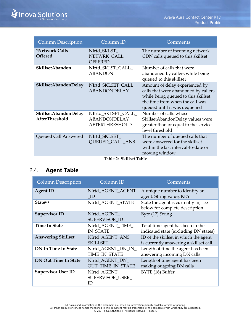| <b>Column Description</b>              | Column <sub>ID</sub>                                          | Comments                                                                                                                                                                          |
|----------------------------------------|---------------------------------------------------------------|-----------------------------------------------------------------------------------------------------------------------------------------------------------------------------------|
| *Network Calls<br><b>Offered</b>       | Nlrtd_SKLST_<br>NETWRK_CALL_<br><b>OFFERED</b>                | The number of incoming network<br>CDN calls queued to this skillset                                                                                                               |
| SkillsetAbandon                        | NIrtd_SKLST_CALL_<br><b>ABANDON</b>                           | Number of calls that were<br>abandoned by callers while being<br>queued to this skillset                                                                                          |
| SkillsetAbandonDelay                   | NIrtd_SKLSET_CALL_<br><b>ABANDONDELAY</b>                     | Amount of delay experienced by<br>calls that were abandoned by callers<br>while being queued to this skillset;<br>the time from when the call was<br>queued until it was dequeued |
| SkillsetAbandonDelay<br>AfterThreshold | NIlrtd_SKLSET_CALL_<br>ABANDONDELAY_<br><b>AFTERTHRESHOLD</b> | Number of calls whose<br>SkillsetAbandonDelay values were<br>greater than or equal to the service<br>level threshold                                                              |
| Queued Call Answered                   | NIrtd_SKLSET_<br><b>QUEUED_CALL_ANS</b>                       | The number of queued calls that<br>were answered for the skillset<br>within the last interval-to-date or<br>moving window                                                         |

**Table 2: Skillset Table**

#### <span id="page-8-0"></span>2.4. **Agent Table**

| <b>Column Description</b>   | Column ID                                   | Comments                                                                        |
|-----------------------------|---------------------------------------------|---------------------------------------------------------------------------------|
| <b>Agent ID</b>             | NIrtd AGENT AGENT<br>- ID                   | A unique number to identify an<br>agent. String value, KEY                      |
| State <sup>a, c</sup>       | NIrtd AGENT STATE                           | State the agent is currently in; see<br>below for complete description          |
| <b>Supervisor ID</b>        | NIrtd_AGENT_<br>SUPERVISOR ID               | Byte (17) String                                                                |
| <b>Time In State</b>        | NIrtd AGENT TIME<br><b>IN STATE</b>         | Total time agent has been in the<br>indicated state (excluding DN states)       |
| <b>Answering Skillset</b>   | NIrtd_AGENT_ANS_<br><b>SKILLSET</b>         | ID of the skillset in which the agent<br>is currently answering a skillset call |
| <b>DN In Time In State</b>  | Nlrtd_AGENT_DN_IN_<br>TIME_IN_STATE         | Length of time the agent has been<br>answering incoming DN calls                |
| <b>DN Out Time In State</b> | Nlrtd_AGENT_DN_<br><b>OUT_TIME_IN_STATE</b> | Length of time agent has been<br>making outgoing DN calls                       |
| <b>Supervisor User ID</b>   | NIrtd_AGENT_<br>SUPERVISOR USER<br>ID       | BYTE (16) Buffer                                                                |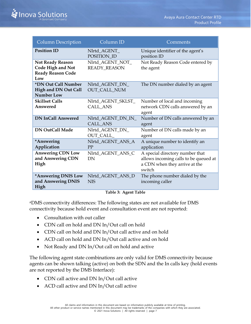| <b>Column Description</b>                                                              | Column ID                               | Comments                                                                                                            |
|----------------------------------------------------------------------------------------|-----------------------------------------|---------------------------------------------------------------------------------------------------------------------|
| <b>Position ID</b>                                                                     | NIrtd_AGENT_<br>POSITION_ID             | Unique identifier of the agent's<br>position ID                                                                     |
| <b>Not Ready Reason</b><br><b>Code High and Not</b><br><b>Ready Reason Code</b><br>Low | Nlrtd_AGENT_NOT_<br><b>READY_REASON</b> | Not Ready Reason Code entered by<br>the agent                                                                       |
| *DN Out Call Number<br>High and DN Out Call<br><b>Number Low</b>                       | Nlrtd_AGENT_DN_<br><b>OUT_CALL_NUM</b>  | The DN number dialed by an agent                                                                                    |
| <b>Skillset Calls</b><br>Answered                                                      | Nlrtd_AGENT_SKLST_<br><b>CALL_ANS</b>   | Number of local and incoming<br>network CDN calls answered by an<br>agent                                           |
| <b>DN InCall Answered</b>                                                              | Nlrtd_AGENT_DN_IN_<br><b>CALL_ANS</b>   | Number of DN calls answered by an<br>agent                                                                          |
| <b>DN OutCall Made</b>                                                                 | Nlrtd_AGENT_DN_<br>OUT_CALL_            | Number of DN calls made by an<br>agent                                                                              |
| *Answering<br>Application                                                              | Nlrtd_AGENT_ANS_A<br>PP                 | A unique number to identify an<br>application                                                                       |
| <b>Answering CDN Low</b><br>and Answering CDN<br>High                                  | Nlrtd_AGENT_ANS_C<br><b>DN</b>          | A special directory number that<br>allows incoming calls to be queued at<br>a CDN when they arrive at the<br>switch |
| *Answering DNIS Low<br>and Answering DNIS<br>High                                      | Nlrtd_AGENT_ANS_D<br><b>NIS</b>         | The phone number dialed by the<br>incoming caller                                                                   |

#### **Table 3: Agent Table**

<sup>a</sup>DMS connectivity differences: The following states are not available for DMS connectivity because hold event and consultation event are not reported:

- Consultation with out caller
- CDN call on hold and DN In/Out call on hold
- CDN call on hold and DN In/Out call active and on hold
- ACD call on hold and DN In/Out call active and on hold
- Not Ready and DN In/Out call on hold and active

The following agent state combinations are only valid for DMS connectivity because agents can be shown talking (active) on both the SDN and the In calls key (hold events are not reported by the DMS Interface):

- CDN call active and DN In/Out call active
- ACD call active and DN In/Out call active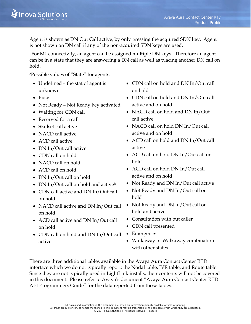Agent is shown as DN Out Call active, by only pressing the acquired SDN key. Agent is not shown on DN call if any of the non-acquired SDN keys are used.

<sup>b</sup>For M1 connectivity, an agent can be assigned multiple DN keys. Therefore an agent can be in a state that they are answering a DN call as well as placing another DN call on hold.

<sup>c</sup>Possible values of "State" for agents:

- Undefined the stat of agent is unknown
- Busy
- Not Ready Not Ready key activated
- Waiting for CDN call
- Reserved for a call
- Skillset call active
- NACD call active
- ACD call active
- DN In/Out call active
- CDN call on hold
- NACD call on hold
- ACD call on hold
- DN In/Out call on hold
- DN In/Out call on hold and active<sup>b</sup>
- CDN call active and DN In/Out call on hold
- NACD call active and DN In/Out call on hold
- ACD call active and DN In/Out call on hold
- CDN call on hold and DN In/Out call active
- CDN call on hold and DN In/Out call on hold
- CDN call on hold and DN In/Out call active and on hold
- NACD call on hold and DN In/Out call active
- NACD call on hold DN In/Out call active and on hold
- ACD call on hold and DN In/Out call active
- ACD call on hold DN In/Out call on hold
- ACD call on hold DN In/Out call active and on hold
- Not Ready and DN In/Out call active
- Not Ready and DN In/Out call on hold
- Not Ready and DN In/Out call on hold and active
- Consultation with out caller
- CDN call presented
- Emergency
- Walkaway or Walkaway combination with other states

There are three additional tables available in the Avaya Aura Contact Center RTD interface which we do not typically report: the Nodal table, IVR table, and Route table. Since they are not typically used in LightLink installs, their contents will not be covered in this document. Please refer to Avaya's document "Avaya Aura Contact Center RTD API Programmers Guide" for the data reported from those tables.